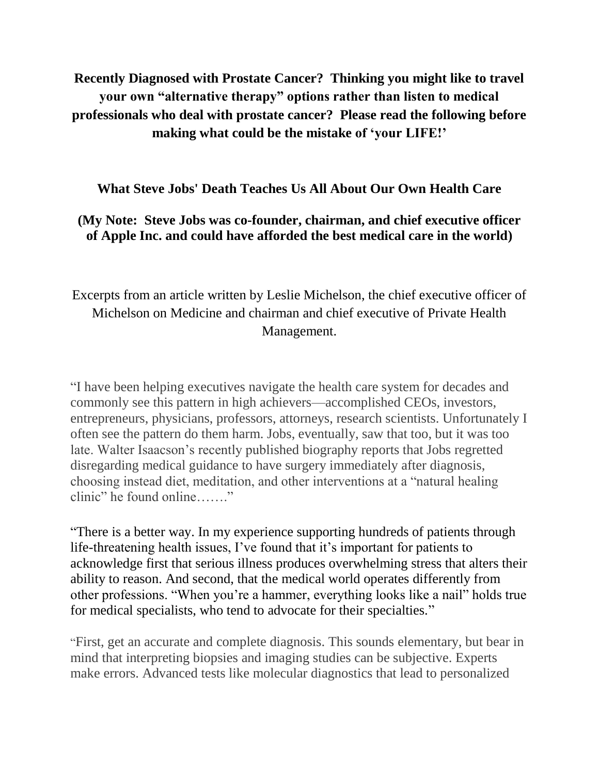**Recently Diagnosed with Prostate Cancer? Thinking you might like to travel your own "alternative therapy" options rather than listen to medical professionals who deal with prostate cancer? Please read the following before making what could be the mistake of "your LIFE!"**

## **What Steve Jobs' Death Teaches Us All About Our Own Health Care**

## **(My Note: Steve Jobs was co-founder, chairman, and chief executive officer of Apple Inc. and could have afforded the best medical care in the world)**

Excerpts from an article written by Leslie Michelson, the chief executive officer of Michelson on Medicine and chairman and chief executive of Private Health Management.

―I have been helping executives navigate the health care system for decades and commonly see this pattern in high achievers—accomplished CEOs, investors, entrepreneurs, physicians, professors, attorneys, research scientists. Unfortunately I often see the pattern do them harm. Jobs, eventually, saw that too, but it was too late. Walter Isaacson's recently published biography reports that Jobs regretted disregarding medical guidance to have surgery immediately after diagnosis, choosing instead diet, meditation, and other interventions at a "natural healing" clinic" he found online……."

―There is a better way. In my experience supporting hundreds of patients through life-threatening health issues, I've found that it's important for patients to acknowledge first that serious illness produces overwhelming stress that alters their ability to reason. And second, that the medical world operates differently from other professions. "When you're a hammer, everything looks like a nail" holds true for medical specialists, who tend to advocate for their specialties."

―First, get an accurate and complete diagnosis. This sounds elementary, but bear in mind that interpreting biopsies and imaging studies can be subjective. Experts make errors. Advanced tests like molecular diagnostics that lead to personalized